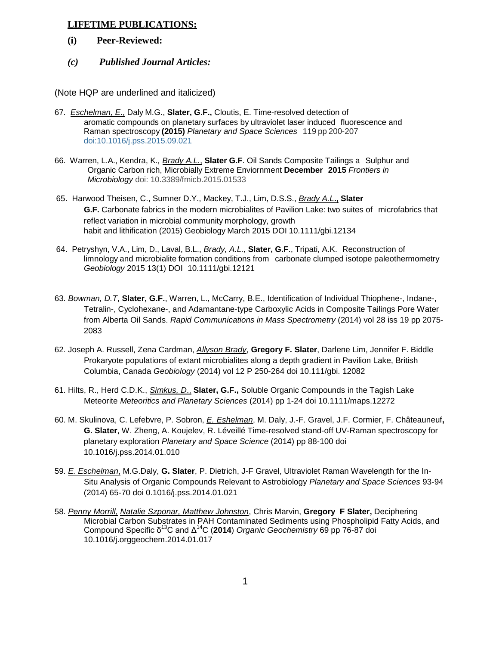## **LIFETIME PUBLICATIONS:**

- **(i) Peer-Reviewed:**
- *(c) Published Journal Articles:*

(Note HQP are underlined and italicized)

- 67. *Eschelman, E*., Daly M.G., **Slater, G.F.,** Cloutis, E. Time-resolved detection of aromatic compounds on planetary surfaces by ultraviolet laser induced fluorescence and Raman spectroscopy **(2015)** *Planetary and Space Sciences* 119 pp 200-207 [doi:10.1016/j.pss.2015.09.021](http://dx.doi.org/10.1016/j.pss.2015.09.021)
- 66. Warren, L.A., Kendra, K*., Brady A.L.*, **Slater G.F**. Oil Sands Composite Tailings a Sulphur and Organic Carbon rich, Microbially Extreme Enviornment **December 2015** *Frontiers in Microbiology* doi: 10.3389/fmicb.2015.01533
- 65. Harwood Theisen, C., Sumner D.Y., Mackey, T.J., Lim, D.S.S., *Brady A.L***., Slater G.F.** Carbonate fabrics in the modern microbialites of Pavilion Lake: two suites of microfabrics that reflect variation in microbial community morphology, growth habit and lithification (2015) Geobiology March 2015 DOI 10.1111/gbi.12134
- 64. Petryshyn, V.A., Lim, D., Laval, B.L., *Brady, A.L.,* **Slater, G.F**., Tripati, A.K. Reconstruction of limnology and microbialite formation conditions from carbonate clumped isotope paleothermometry *Geobiology* 2015 13(1) DOI 10.1111/gbi.12121
- 63. *Bowman, D.T*, **Slater, G.F.**, Warren, L., McCarry, B.E., Identification of Individual Thiophene-, Indane-, Tetralin-, Cyclohexane-, and Adamantane-type Carboxylic Acids in Composite Tailings Pore Water from Alberta Oil Sands. *Rapid Communications in Mass Spectrometry* (2014) vol 28 iss 19 pp 2075- 2083
- 62. Joseph A. Russell, Zena Cardman, *Allyson Brady*, **Gregory F. Slater**, Darlene Lim, Jennifer F. Biddle Prokaryote populations of extant microbialites along a depth gradient in Pavilion Lake, British Columbia, Canada *Geobiology* (2014) vol 12 P 250-264 doi 10.111/gbi. 12082
- 61. Hilts, R., Herd C.D.K., *Simkus, D*., **Slater, G.F.,** Soluble Organic Compounds in the Tagish Lake Meteorite *Meteoritics and Planetary Sciences* (2014) pp 1-24 doi 10.1111/maps.12272
- 60. M. Skulinova, C. Lefebvre, P. Sobron, *E. Eshelman*, M. Daly, J.-F. Gravel, J.F. Cormier, F. Châteauneuf**, G. Slater**, W. Zheng, A. Koujelev, R. Léveillé Time-resolved stand-off UV-Raman spectroscopy for planetary exploration *Planetary and Space Science* (2014) pp 88-100 doi 10.1016/j.pss.2014.01.010
- 59. *E. Eschelman*, M.G.Daly, **G. Slater**, P. Dietrich, J-F Gravel, Ultraviolet Raman Wavelength for the In-Situ Analysis of Organic Compounds Relevant to Astrobiology *Planetary and Space Sciences* 93-94 (2014) 65-70 doi 0.1016/j.pss.2014.01.021
- 58. *Penny Morrill*, *Natalie Szponar, Matthew Johnston*, Chris Marvin, **Gregory F Slater,** Deciphering Microbial Carbon Substrates in PAH Contaminated Sediments using Phospholipid Fatty Acids, and Compound Specific δ<sup>13</sup>C and Δ14C (**2014**) *Organic Geochemistry* 69 pp 76-87 doi 10.1016/j.orggeochem.2014.01.017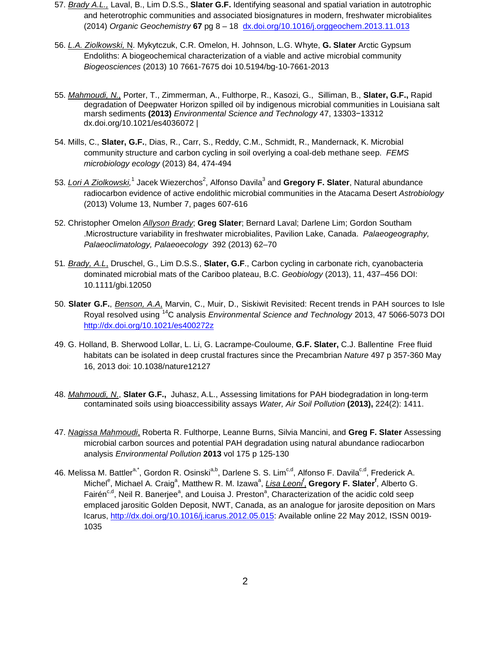- 57. *Brady A.L.,* Laval, B., Lim D.S.S., **Slater G.F.** Identifying seasonal and spatial variation in autotrophic and heterotrophic communities and associated biosignatures in modern, freshwater microbialites (2014) *Organic Geochemistry* **67** pg 8 – 18 [dx.doi.org/10.1016/j.orggeochem.2013.11.013](http://dx.doi.org/10.1016/j.orggeochem.2013.11.013)
- 56. *L.A. Ziolkowski,* N. Mykytczuk, C.R. Omelon, H. Johnson, L.G. Whyte, **G. Slater** Arctic Gypsum Endoliths: A biogeochemical characterization of a viable and active microbial community *Biogeosciences* (2013) 10 7661-7675 doi 10.5194/bg-10-7661-2013
- 55. *Mahmoudi, N.,* Porter, T., Zimmerman, A., Fulthorpe, R., Kasozi, G., Silliman, B., **Slater, G.F.,** Rapid degradation of Deepwater Horizon spilled oil by indigenous microbial communities in Louisiana salt marsh sediments **(2013)** *Environmental Science and Technology* 47, 13303−13312 dx.doi.org/10.1021/es4036072 |
- 54. Mills, C., **Slater, G.F.**, Dias, R., Carr, S., Reddy, C.M., Schmidt, R., Mandernack, K. Microbial community structure and carbon cycling in soil overlying a coal-deb methane seep. *FEMS microbiology ecology* (2013) 84, 474-494
- 53. <u>Lori A Ziolkowski</u>,<sup>1</sup> Jacek Wiezerchos<sup>2</sup>, Alfonso Davila<sup>3</sup> and **Gregory F. Slater**, Natural abundance radiocarbon evidence of active endolithic microbial communities in the Atacama Desert *Astrobiology*  (2013) Volume 13, Number 7, pages 607-616
- 52. Christopher Omelon *Allyson Brady*; **Greg Slater**; Bernard Laval; Darlene Lim; Gordon Southam .Microstructure variability in freshwater microbialites, Pavilion Lake, Canada. *Palaeogeography, Palaeoclimatology, Palaeoecology* 392 (2013) 62–70
- 51*. Brady, A.L*, Druschel, G., Lim D.S.S., **Slater, G.F**., Carbon cycling in carbonate rich, cyanobacteria dominated microbial mats of the Cariboo plateau, B.C. *Geobiology* (2013), 11, 437–456 DOI: 10.1111/gbi.12050
- 50. **Slater G.F.**, *Benson, A.A*, Marvin, C., Muir, D., Siskiwit Revisited: Recent trends in PAH sources to Isle Royal resolved using 14C analysis *Environmental Science and Technology* 2013, 47 5066-5073 DOI <http://dx.doi.org/10.1021/es400272z>
- 49. G. Holland, B. Sherwood Lollar, L. Li, G. Lacrampe-Couloume, **G.F. Slater,** C.J. Ballentine Free fluid habitats can be isolated in deep crustal fractures since the Precambrian *Nature* 497 p 357-360 May 16, 2013 doi: 10.1038/nature12127
- 48. *Mahmoudi, N*., **Slater G.F.,** Juhasz, A.L., Assessing limitations for PAH biodegradation in long-term contaminated soils using bioaccessibility assays *Water, Air Soil Pollution* **(2013),** 224(2): 1411.
- 47. *Nagissa Mahmoudi*, Roberta R. Fulthorpe, Leanne Burns, Silvia Mancini, and **Greg F. Slater** Assessing microbial carbon sources and potential PAH degradation using natural abundance radiocarbon analysis *Environmental Pollution* **2013** vol 175 p 125-130
- 46. Melissa M. Battler<sup>a,\*</sup>, Gordon R. Osinski<sup>a,b</sup>, Darlene S. S. Lim<sup>c,d</sup>, Alfonso F. Davila<sup>c,d</sup>, Frederick A. Michel<sup>e</sup>, Michael A. Craig<sup>a</sup>, Matthew R. M. Izawa<sup>a</sup>, <u>Lisa Leoni<sup>f</sup>,</u> Gregory F. Slater<sup>f</sup>, Alberto G. Fairén<sup>c,d</sup>, Neil R. Banerjee<sup>a</sup>, and Louisa J. Preston<sup>a</sup>, Characterization of the acidic cold seep emplaced jarositic Golden Deposit, NWT, Canada, as an analogue for jarosite deposition on Mars Icarus, [http://dx.doi.org/10.1016/j.icarus.2012.05.015:](http://dx.doi.org/10.1016/j.icarus.2012.05.015) Available online 22 May 2012, ISSN 0019- 1035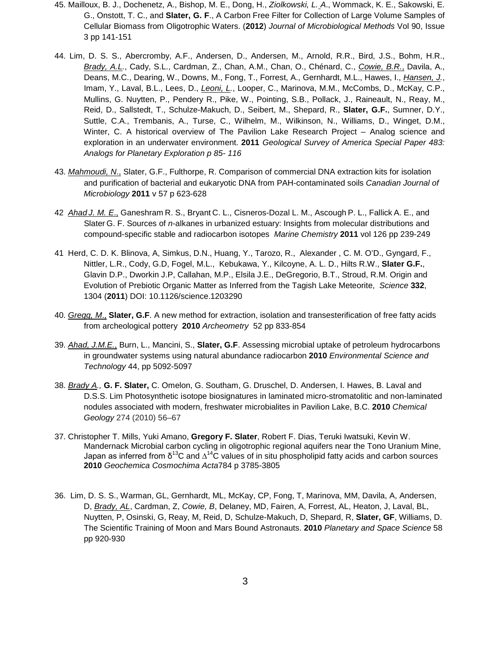- 45. Mailloux, B. J., Dochenetz, A., Bishop, M. E., Dong, H., *Ziolkowski, L. A*., Wommack, K. E., Sakowski, E. G., Onstott, T. C., and **Slater, G. F**., A Carbon Free Filter for Collection of Large Volume Samples of Cellular Biomass from Oligotrophic Waters. (**2012**) *Journal of Microbiological Methods* Vol 90, Issue 3 pp 141-151
- 44. Lim, D. S. S., Abercromby, A.F., Andersen, D., Andersen, M., Arnold, R.R., Bird, J.S., Bohm, H.R., *Brady, A.L.*, Cady, S.L., Cardman, Z., Chan, A.M., Chan, O., Chénard, C., *Cowie, B.R.*, Davila, A., Deans, M.C., Dearing, W., Downs, M., Fong, T., Forrest, A., Gernhardt, M.L., Hawes, I., *Hansen, J.*, Imam, Y., Laval, B.L., Lees, D., *Leoni, L.*, Looper, C., Marinova, M.M., McCombs, D., McKay, C.P., Mullins, G. Nuytten, P., Pendery R., Pike, W., Pointing, S.B., Pollack, J., Raineault, N., Reay, M., Reid, D., Sallstedt, T., Schulze-Makuch, D., Seibert, M., Shepard, R., **Slater, G.F.**, Sumner, D.Y., Suttle, C.A., Trembanis, A., Turse, C., Wilhelm, M., Wilkinson, N., Williams, D., Winget, D.M., Winter, C. A historical overview of The Pavilion Lake Research Project – Analog science and exploration in an underwater environment. **2011** *Geological Survey of America Special Paper 483: Analogs for Planetary Exploration p 85- 116*
- 43. *Mahmoudi, N*., Slater, G.F., Fulthorpe, R. Comparison of commercial DNA extraction kits for isolation and purification of bacterial and eukaryotic DNA from PAH-contaminated soils *Canadian Journal of Microbiology* **2011** v 57 p 623-628
- 42 *Ahad J. M. E*., Ganeshram R. S., Bryant C. L., Cisneros-Dozal L. M., Ascough P. L., Fallick A. E., and Slater G. F. Sources of *n*-alkanes in urbanized estuary: Insights from molecular distributions and compound-specific stable and radiocarbon isotopes *Marine Chemistry* **2011** vol 126 pp 239-249
- 41 Herd, C. D. K. Blinova, A, Simkus, D.N., Huang, Y., Tarozo, R., Alexander , C. M. O'D., Gyngard, F., Nittler, L.R., Cody, G.D, Fogel, M.L., Kebukawa, Y., Kilcoyne, A. L. D., Hilts R.W., **Slater G.F.**, Glavin D.P., Dworkin J.P, Callahan, M.P., Elsila J.E., DeGregorio, B.T., Stroud, R.M. Origin and Evolution of Prebiotic Organic Matter as Inferred from the Tagish Lake Meteorite, *Science* **332**, 1304 (**2011**) DOI: 10.1126/science.1203290
- 40. *Gregg, M*., **Slater, G.F**. A new method for extraction, isolation and transesterification of free fatty acids from archeological pottery **2010** *Archeometry* 52 pp 833-854
- 39. *Ahad, J.M.E.*, Burn, L., Mancini, S., **Slater, G.F**. Assessing microbial uptake of petroleum hydrocarbons in groundwater systems using natural abundance radiocarbon **2010** *Environmental Science and Technology* 44, pp 5092-5097
- 38. *Brady A.,* **G. F. Slater,** C. Omelon, G. Southam, G. Druschel, D. Andersen, I. Hawes, B. Laval and D.S.S. Lim Photosynthetic isotope biosignatures in laminated micro-stromatolitic and non-laminated nodules associated with modern, freshwater microbialites in Pavilion Lake, B.C. **2010** *Chemical Geology* 274 (2010) 56–67
- 37. Christopher T. Mills, Yuki Amano, **Gregory F. Slater**, Robert F. Dias, Teruki Iwatsuki, Kevin W. Mandernack Microbial carbon cycling in oligotrophic regional aquifers near the Tono Uranium Mine, Japan as inferred from  $\delta^{13}C$  and  $\Delta^{14}C$  values of in situ phospholipid fatty acids and carbon sources **2010** *Geochemica Cosmochima Acta*784 p 3785-3805
- 36. Lim, D. S. S., Warman, GL, Gernhardt, ML, McKay, CP, Fong, T, Marinova, MM, Davila, A, Andersen, D, *Brady, AL*, Cardman, Z, *Cowie, B*, Delaney, MD, Fairen, A, Forrest, AL, Heaton, J, Laval, BL, Nuytten, P, Osinski, G, Reay, M, Reid, D, Schulze-Makuch, D, Shepard, R, **Slater, GF**, Williams, D. The Scientific Training of Moon and Mars Bound Astronauts. **2010** *Planetary and Space Science* 58 pp 920-930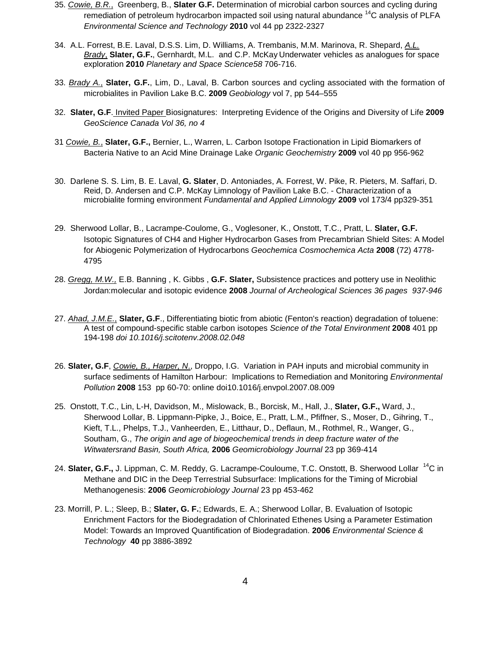- 35. *Cowie, B.R.*, Greenberg, B., **Slater G.F.** Determination of microbial carbon sources and cycling during remediation of petroleum hydrocarbon impacted soil using natural abundance <sup>14</sup>C analysis of PLFA *Environmental Science and Technology* **2010** vol 44 pp 2322-2327
- 34. A.L. Forrest, B.E. Laval, D.S.S. Lim, D. Williams, A. Trembanis, M.M. Marinova, R. Shepard, *A.L. Brady*, **Slater, G.F.**, Gernhardt, M.L. and C.P. McKay Underwater vehicles as analogues for space exploration **2010** *Planetary and Space Science58* 706-716.
- 33. *Brady A.*, **Slater, G.F.**, Lim, D., Laval, B. Carbon sources and cycling associated with the formation of microbialites in Pavilion Lake B.C. **2009** *Geobiology* vol 7, pp 544–555
- 32. **Slater, G.F**. Invited Paper Biosignatures: Interpreting Evidence of the Origins and Diversity of Life **2009** *GeoScience Canada Vol 36, no 4*
- 31 *Cowie, B.*, **Slater, G.F.,** Bernier, L., Warren, L. Carbon Isotope Fractionation in Lipid Biomarkers of Bacteria Native to an Acid Mine Drainage Lake *Organic Geochemistry* **2009** vol 40 pp 956-962
- 30. Darlene S. S. Lim, B. E. Laval, **G. Slater**, D. Antoniades, A. Forrest, W. Pike, R. Pieters, M. Saffari, D. Reid, D. Andersen and C.P. McKay Limnology of Pavilion Lake B.C. - Characterization of a microbialite forming environment *Fundamental and Applied Limnology* **2009** vol 173/4 pp329-351
- 29. Sherwood Lollar, B., Lacrampe-Coulome, G., Voglesoner, K., Onstott, T.C., Pratt, L. **Slater, G.F.** Isotopic Signatures of CH4 and Higher Hydrocarbon Gases from Precambrian Shield Sites: A Model for Abiogenic Polymerization of Hydrocarbons *Geochemica Cosmochemica Acta* **2008** (72) 4778- 4795
- 28. *Gregg, M.W.,* E.B. Banning , K. Gibbs , **G.F. Slater,** Subsistence practices and pottery use in Neolithic Jordan:molecular and isotopic evidence **2008** *Journal of Archeological Sciences 36 pages 937-946*
- 27. *Ahad, J.M.E.*, **Slater, G.F**., Differentiating biotic from abiotic (Fenton's reaction) degradation of toluene: A test of compound-specific stable carbon isotopes *Science of the Total Environment* **2008** 401 pp 194-198 *doi 10.1016/j.scitotenv.2008.02.048*
- 26. **Slater, G.F**, *Cowie, B., Harper, N*., Droppo, I.G. Variation in PAH inputs and microbial community in surface sediments of Hamilton Harbour: Implications to Remediation and Monitoring *Environmental Pollution* **2008** 153 pp 60-70: online doi10.1016/j.envpol.2007.08.009
- 25. Onstott, T.C., Lin, L-H, Davidson, M., Mislowack, B., Borcisk, M., Hall, J., **Slater, G.F.,** Ward, J., Sherwood Lollar, B. Lippmann-Pipke, J., Boice, E., Pratt, L.M., Pfiffner, S., Moser, D., Gihring, T., Kieft, T.L., Phelps, T.J., Vanheerden, E., Litthaur, D., Deflaun, M., Rothmel, R., Wanger, G., Southam, G., *The origin and age of biogeochemical trends in deep fracture water of the Witwatersrand Basin, South Africa,* **2006** *Geomicrobiology Journal* 23 pp 369-414
- 24. **Slater, G.F.,** J. Lippman, C. M. Reddy, G. Lacrampe-Couloume, T.C. Onstott, B. Sherwood Lollar <sup>14</sup>C in Methane and DIC in the Deep Terrestrial Subsurface: Implications for the Timing of Microbial Methanogenesis: **2006** *Geomicrobiology Journal* 23 pp 453-462
- 23. Morrill, P. L.; Sleep, B.; **Slater, G. F.**; Edwards, E. A.; Sherwood Lollar, B. Evaluation of Isotopic Enrichment Factors for the Biodegradation of Chlorinated Ethenes Using a Parameter Estimation Model: Towards an Improved Quantification of Biodegradation. **2006** *Environmental Science & Technology* **40** pp 3886-3892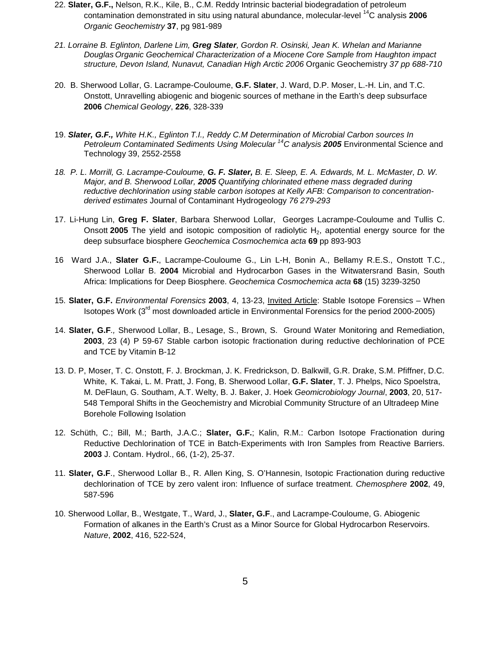- 22. **Slater, G.F.,** Nelson, R.K., Kile, B., C.M. Reddy Intrinsic bacterial biodegradation of petroleum contamination demonstrated in situ using natural abundance, molecular-level 14C analysis **2006** *Organic Geochemistry* **37**, pg 981-989
- *21. Lorraine B. Eglinton, Darlene Lim, Greg Slater, Gordon R. Osinski, Jean K. Whelan and Marianne Douglas Organic Geochemical Characterization of a Miocene Core Sample from Haughton impact structure, Devon Island, Nunavut, Canadian High Arctic 2006* Organic Geochemistry *37 pp 688-710*
- 20. B. Sherwood Lollar, G. Lacrampe-Couloume, **G.F. Slater**, J. Ward, D.P. Moser, L.-H. Lin, and T.C. Onstott, Unravelling abiogenic and biogenic sources of methane in the Earth's deep subsurface **2006** *Chemical Geology*, **226**, 328-339
- 19. *Slater, G.F., White H.K., Eglinton T.I., Reddy C.M Determination of Microbial Carbon sources In Petroleum Contaminated Sediments Using Molecular 14C analysis 2005* Environmental Science and Technology 39, 2552-2558
- *18. P. L. Morrill, G. Lacrampe-Couloume, G. F. Slater, B. E. Sleep, E. A. Edwards, M. L. McMaster, D. W. Major, and B. Sherwood Lollar, 2005 Quantifying chlorinated ethene mass degraded during reductive dechlorination using stable carbon isotopes at Kelly AFB: Comparison to concentrationderived estimates* Journal of Contaminant Hydrogeology *76 279-293*
- 17. Li-Hung Lin, **Greg F. Slater**, Barbara Sherwood Lollar, Georges Lacrampe-Couloume and Tullis C. Onsott **2005** The yield and isotopic composition of radiolytic H<sub>2</sub>, apotential energy source for the deep subsurface biosphere *Geochemica Cosmochemica acta* **69** pp 893-903
- 16 Ward J.A., **Slater G.F.**, Lacrampe-Couloume G., Lin L-H, Bonin A., Bellamy R.E.S., Onstott T.C., Sherwood Lollar B. **2004** Microbial and Hydrocarbon Gases in the Witwatersrand Basin, South Africa: Implications for Deep Biosphere. *Geochemica Cosmochemica acta* **68** (15) 3239-3250
- 15. **Slater, G.F.** *Environmental Forensics* **2003**, 4, 13-23, Invited Article: Stable Isotope Forensics When Isotopes Work (3<sup>rd</sup> most downloaded article in Environmental Forensics for the period 2000-2005)
- 14. **Slater, G.F***.,* Sherwood Lollar, B., Lesage, S., Brown, S. Ground Water Monitoring and Remediation, **2003**, 23 (4) P 59-67 Stable carbon isotopic fractionation during reductive dechlorination of PCE and TCE by Vitamin B-12
- 13. D. P, Moser, T. C. Onstott, F. J. Brockman, J. K. Fredrickson, D. Balkwill, G.R. Drake, S.M. Pfiffner, D.C. White, K. Takai, L. M. Pratt, J. Fong, B. Sherwood Lollar, **G.F. Slater**, T. J. Phelps, Nico Spoelstra, M. DeFlaun, G. Southam, A.T. Welty, B. J. Baker, J. Hoek *Geomicrobiology Journal*, **2003**, 20, 517- 548 Temporal Shifts in the Geochemistry and Microbial Community Structure of an Ultradeep Mine Borehole Following Isolation
- 12. Schüth, C.; Bill, M.; Barth, J.A.C.; **Slater, G.F.**; Kalin, R.M.: Carbon Isotope Fractionation during Reductive Dechlorination of TCE in Batch-Experiments with Iron Samples from Reactive Barriers. **2003** J. Contam. Hydrol., 66, (1-2), 25-37.
- 11. **Slater, G.F**., Sherwood Lollar B., R. Allen King, S. O'Hannesin, Isotopic Fractionation during reductive dechlorination of TCE by zero valent iron: Influence of surface treatment. *Chemosphere* **2002**, 49, 587-596
- 10. Sherwood Lollar, B., Westgate, T., Ward, J., **Slater, G.F**., and Lacrampe-Couloume, G. Abiogenic Formation of alkanes in the Earth's Crust as a Minor Source for Global Hydrocarbon Reservoirs. *Nature*, **2002**, 416, 522-524,